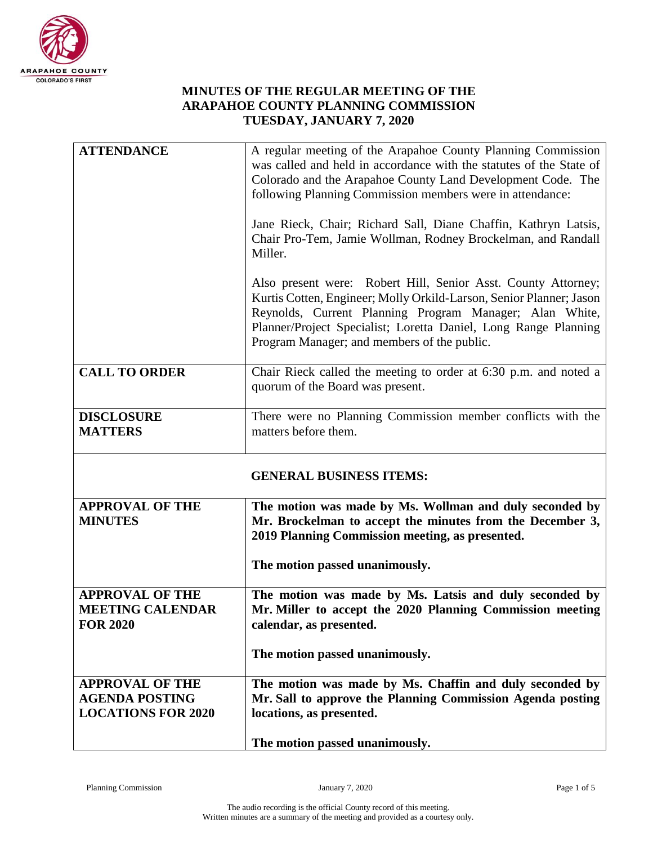

## **MINUTES OF THE REGULAR MEETING OF THE ARAPAHOE COUNTY PLANNING COMMISSION TUESDAY, JANUARY 7, 2020**

| <b>ATTENDANCE</b>                                                    | A regular meeting of the Arapahoe County Planning Commission<br>was called and held in accordance with the statutes of the State of<br>Colorado and the Arapahoe County Land Development Code. The<br>following Planning Commission members were in attendance:                                                   |  |
|----------------------------------------------------------------------|-------------------------------------------------------------------------------------------------------------------------------------------------------------------------------------------------------------------------------------------------------------------------------------------------------------------|--|
|                                                                      | Jane Rieck, Chair; Richard Sall, Diane Chaffin, Kathryn Latsis,<br>Chair Pro-Tem, Jamie Wollman, Rodney Brockelman, and Randall<br>Miller.                                                                                                                                                                        |  |
|                                                                      | Also present were: Robert Hill, Senior Asst. County Attorney;<br>Kurtis Cotten, Engineer; Molly Orkild-Larson, Senior Planner; Jason<br>Reynolds, Current Planning Program Manager; Alan White,<br>Planner/Project Specialist; Loretta Daniel, Long Range Planning<br>Program Manager; and members of the public. |  |
| <b>CALL TO ORDER</b>                                                 | Chair Rieck called the meeting to order at 6:30 p.m. and noted a<br>quorum of the Board was present.                                                                                                                                                                                                              |  |
| <b>DISCLOSURE</b><br><b>MATTERS</b>                                  | There were no Planning Commission member conflicts with the<br>matters before them.                                                                                                                                                                                                                               |  |
| <b>GENERAL BUSINESS ITEMS:</b>                                       |                                                                                                                                                                                                                                                                                                                   |  |
| <b>APPROVAL OF THE</b><br><b>MINUTES</b>                             | The motion was made by Ms. Wollman and duly seconded by<br>Mr. Brockelman to accept the minutes from the December 3,<br>2019 Planning Commission meeting, as presented.                                                                                                                                           |  |
|                                                                      | The motion passed unanimously.                                                                                                                                                                                                                                                                                    |  |
| <b>APPROVAL OF THE</b><br><b>MEETING CALENDAR</b><br><b>FOR 2020</b> | The motion was made by Ms. Latsis and duly seconded by<br>Mr. Miller to accept the 2020 Planning Commission meeting<br>calendar, as presented.                                                                                                                                                                    |  |
|                                                                      | The motion passed unanimously.                                                                                                                                                                                                                                                                                    |  |
| <b>APPROVAL OF THE</b>                                               | The motion was made by Ms. Chaffin and duly seconded by                                                                                                                                                                                                                                                           |  |
| <b>AGENDA POSTING</b><br><b>LOCATIONS FOR 2020</b>                   | Mr. Sall to approve the Planning Commission Agenda posting<br>locations, as presented.                                                                                                                                                                                                                            |  |
|                                                                      | The motion passed unanimously.                                                                                                                                                                                                                                                                                    |  |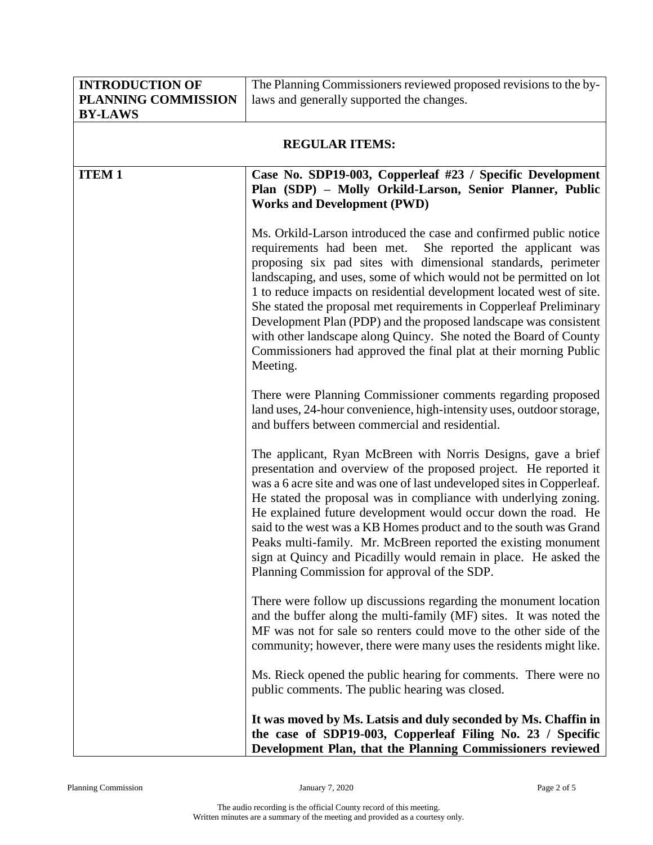| <b>INTRODUCTION OF</b> | The Planning Commissioners reviewed proposed revisions to the by-                                                                                                                                                                                                                                                                                                                                                                                                                                                                                                                                                                            |  |
|------------------------|----------------------------------------------------------------------------------------------------------------------------------------------------------------------------------------------------------------------------------------------------------------------------------------------------------------------------------------------------------------------------------------------------------------------------------------------------------------------------------------------------------------------------------------------------------------------------------------------------------------------------------------------|--|
| PLANNING COMMISSION    | laws and generally supported the changes.                                                                                                                                                                                                                                                                                                                                                                                                                                                                                                                                                                                                    |  |
| <b>BY-LAWS</b>         |                                                                                                                                                                                                                                                                                                                                                                                                                                                                                                                                                                                                                                              |  |
| <b>REGULAR ITEMS:</b>  |                                                                                                                                                                                                                                                                                                                                                                                                                                                                                                                                                                                                                                              |  |
| <b>ITEM1</b>           | Case No. SDP19-003, Copperleaf #23 / Specific Development<br>Plan (SDP) - Molly Orkild-Larson, Senior Planner, Public<br><b>Works and Development (PWD)</b>                                                                                                                                                                                                                                                                                                                                                                                                                                                                                  |  |
|                        | Ms. Orkild-Larson introduced the case and confirmed public notice<br>requirements had been met. She reported the applicant was<br>proposing six pad sites with dimensional standards, perimeter<br>landscaping, and uses, some of which would not be permitted on lot<br>1 to reduce impacts on residential development located west of site.<br>She stated the proposal met requirements in Copperleaf Preliminary<br>Development Plan (PDP) and the proposed landscape was consistent<br>with other landscape along Quincy. She noted the Board of County<br>Commissioners had approved the final plat at their morning Public<br>Meeting. |  |
|                        | There were Planning Commissioner comments regarding proposed<br>land uses, 24-hour convenience, high-intensity uses, outdoor storage,<br>and buffers between commercial and residential.                                                                                                                                                                                                                                                                                                                                                                                                                                                     |  |
|                        | The applicant, Ryan McBreen with Norris Designs, gave a brief<br>presentation and overview of the proposed project. He reported it<br>was a 6 acre site and was one of last undeveloped sites in Copperleaf.<br>He stated the proposal was in compliance with underlying zoning.<br>He explained future development would occur down the road. He<br>said to the west was a KB Homes product and to the south was Grand<br>Peaks multi-family. Mr. McBreen reported the existing monument<br>sign at Quincy and Picadilly would remain in place. He asked the<br>Planning Commission for approval of the SDP.                                |  |
|                        | There were follow up discussions regarding the monument location<br>and the buffer along the multi-family (MF) sites. It was noted the<br>MF was not for sale so renters could move to the other side of the<br>community; however, there were many uses the residents might like.                                                                                                                                                                                                                                                                                                                                                           |  |
|                        | Ms. Rieck opened the public hearing for comments. There were no<br>public comments. The public hearing was closed.                                                                                                                                                                                                                                                                                                                                                                                                                                                                                                                           |  |
|                        | It was moved by Ms. Latsis and duly seconded by Ms. Chaffin in<br>the case of SDP19-003, Copperleaf Filing No. 23 / Specific<br>Development Plan, that the Planning Commissioners reviewed                                                                                                                                                                                                                                                                                                                                                                                                                                                   |  |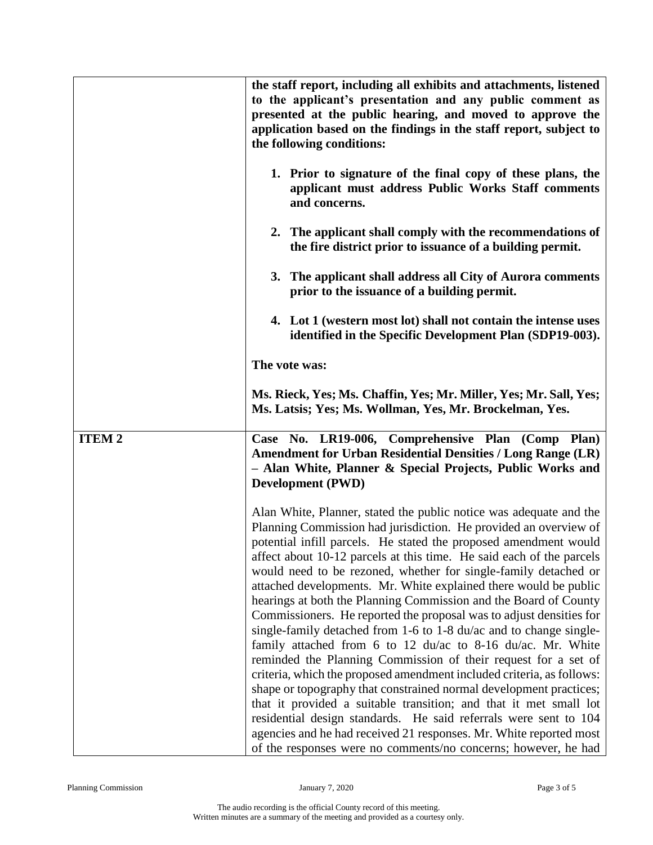|              | the staff report, including all exhibits and attachments, listened<br>to the applicant's presentation and any public comment as<br>presented at the public hearing, and moved to approve the<br>application based on the findings in the staff report, subject to<br>the following conditions:<br>1. Prior to signature of the final copy of these plans, the<br>applicant must address Public Works Staff comments<br>and concerns.<br>2. The applicant shall comply with the recommendations of<br>the fire district prior to issuance of a building permit.<br>3. The applicant shall address all City of Aurora comments<br>prior to the issuance of a building permit.<br>4. Lot 1 (western most lot) shall not contain the intense uses<br>identified in the Specific Development Plan (SDP19-003).<br>The vote was:<br>Ms. Rieck, Yes; Ms. Chaffin, Yes; Mr. Miller, Yes; Mr. Sall, Yes;                                                                                                                                                                                                                                                                                                             |
|--------------|-------------------------------------------------------------------------------------------------------------------------------------------------------------------------------------------------------------------------------------------------------------------------------------------------------------------------------------------------------------------------------------------------------------------------------------------------------------------------------------------------------------------------------------------------------------------------------------------------------------------------------------------------------------------------------------------------------------------------------------------------------------------------------------------------------------------------------------------------------------------------------------------------------------------------------------------------------------------------------------------------------------------------------------------------------------------------------------------------------------------------------------------------------------------------------------------------------------|
| <b>ITEM2</b> | Ms. Latsis; Yes; Ms. Wollman, Yes, Mr. Brockelman, Yes.                                                                                                                                                                                                                                                                                                                                                                                                                                                                                                                                                                                                                                                                                                                                                                                                                                                                                                                                                                                                                                                                                                                                                     |
|              | Case No. LR19-006, Comprehensive Plan (Comp Plan)<br><b>Amendment for Urban Residential Densities / Long Range (LR)</b><br>- Alan White, Planner & Special Projects, Public Works and<br><b>Development (PWD)</b>                                                                                                                                                                                                                                                                                                                                                                                                                                                                                                                                                                                                                                                                                                                                                                                                                                                                                                                                                                                           |
|              | Alan White, Planner, stated the public notice was adequate and the<br>Planning Commission had jurisdiction. He provided an overview of<br>potential infill parcels. He stated the proposed amendment would<br>affect about 10-12 parcels at this time. He said each of the parcels<br>would need to be rezoned, whether for single-family detached or<br>attached developments. Mr. White explained there would be public<br>hearings at both the Planning Commission and the Board of County<br>Commissioners. He reported the proposal was to adjust densities for<br>single-family detached from 1-6 to 1-8 du/ac and to change single-<br>family attached from 6 to 12 du/ac to 8-16 du/ac. Mr. White<br>reminded the Planning Commission of their request for a set of<br>criteria, which the proposed amendment included criteria, as follows:<br>shape or topography that constrained normal development practices;<br>that it provided a suitable transition; and that it met small lot<br>residential design standards. He said referrals were sent to 104<br>agencies and he had received 21 responses. Mr. White reported most<br>of the responses were no comments/no concerns; however, he had |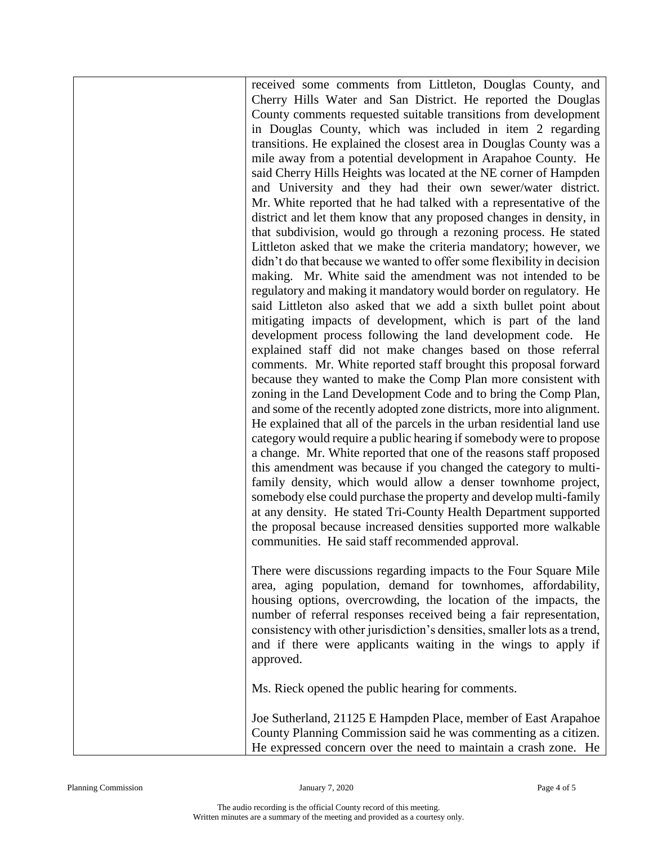| received some comments from Littleton, Douglas County, and                |
|---------------------------------------------------------------------------|
| Cherry Hills Water and San District. He reported the Douglas              |
| County comments requested suitable transitions from development           |
| in Douglas County, which was included in item 2 regarding                 |
| transitions. He explained the closest area in Douglas County was a        |
| mile away from a potential development in Arapahoe County. He             |
| said Cherry Hills Heights was located at the NE corner of Hampden         |
| and University and they had their own sewer/water district.               |
|                                                                           |
| Mr. White reported that he had talked with a representative of the        |
| district and let them know that any proposed changes in density, in       |
| that subdivision, would go through a rezoning process. He stated          |
| Littleton asked that we make the criteria mandatory; however, we          |
| didn't do that because we wanted to offer some flexibility in decision    |
| making. Mr. White said the amendment was not intended to be               |
| regulatory and making it mandatory would border on regulatory. He         |
| said Littleton also asked that we add a sixth bullet point about          |
| mitigating impacts of development, which is part of the land              |
| development process following the land development code. He               |
| explained staff did not make changes based on those referral              |
| comments. Mr. White reported staff brought this proposal forward          |
| because they wanted to make the Comp Plan more consistent with            |
| zoning in the Land Development Code and to bring the Comp Plan,           |
| and some of the recently adopted zone districts, more into alignment.     |
| He explained that all of the parcels in the urban residential land use    |
| category would require a public hearing if somebody were to propose       |
| a change. Mr. White reported that one of the reasons staff proposed       |
| this amendment was because if you changed the category to multi-          |
| family density, which would allow a denser townhome project,              |
| somebody else could purchase the property and develop multi-family        |
| at any density. He stated Tri-County Health Department supported          |
| the proposal because increased densities supported more walkable          |
| communities. He said staff recommended approval.                          |
|                                                                           |
| There were discussions regarding impacts to the Four Square Mile          |
| area, aging population, demand for townhomes, affordability,              |
| housing options, overcrowding, the location of the impacts, the           |
| number of referral responses received being a fair representation,        |
| consistency with other jurisdiction's densities, smaller lots as a trend, |
|                                                                           |
| and if there were applicants waiting in the wings to apply if             |
| approved.                                                                 |
|                                                                           |
| Ms. Rieck opened the public hearing for comments.                         |
| Joe Sutherland, 21125 E Hampden Place, member of East Arapahoe            |
| County Planning Commission said he was commenting as a citizen.           |
| He expressed concern over the need to maintain a crash zone. He           |
|                                                                           |